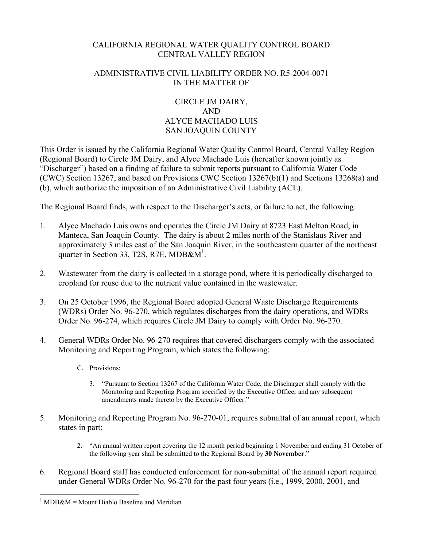## CALIFORNIA REGIONAL WATER QUALITY CONTROL BOARD CENTRAL VALLEY REGION

## ADMINISTRATIVE CIVIL LIABILITY ORDER NO. R5-2004-0071 IN THE MATTER OF

## CIRCLE JM DAIRY, AND ALYCE MACHADO LUIS SAN JOAQUIN COUNTY

This Order is issued by the California Regional Water Quality Control Board, Central Valley Region (Regional Board) to Circle JM Dairy, and Alyce Machado Luis (hereafter known jointly as "Discharger") based on a finding of failure to submit reports pursuant to California Water Code (CWC) Section 13267, and based on Provisions CWC Section 13267(b)(1) and Sections 13268(a) and (b), which authorize the imposition of an Administrative Civil Liability (ACL).

The Regional Board finds, with respect to the Discharger's acts, or failure to act, the following:

- 1. Alyce Machado Luis owns and operates the Circle JM Dairy at 8723 East Melton Road, in Manteca, San Joaquin County. The dairy is about 2 miles north of the Stanislaus River and approximately 3 miles east of the San Joaquin River, in the southeastern quarter of the northeast quarter in Section 33, T2S, R7E, MDB& $\mathbf{M}^1$ .
- 2. Wastewater from the dairy is collected in a storage pond, where it is periodically discharged to cropland for reuse due to the nutrient value contained in the wastewater.
- 3. On 25 October 1996, the Regional Board adopted General Waste Discharge Requirements (WDRs) Order No. 96-270, which regulates discharges from the dairy operations, and WDRs Order No. 96-274, which requires Circle JM Dairy to comply with Order No. 96-270.
- 4. General WDRs Order No. 96-270 requires that covered dischargers comply with the associated Monitoring and Reporting Program, which states the following:
	- C. Provisions:
		- 3. "Pursuant to Section 13267 of the California Water Code, the Discharger shall comply with the Monitoring and Reporting Program specified by the Executive Officer and any subsequent amendments made thereto by the Executive Officer."
- 5. Monitoring and Reporting Program No. 96-270-01, requires submittal of an annual report, which states in part:
	- 2. "An annual written report covering the 12 month period beginning 1 November and ending 31 October of the following year shall be submitted to the Regional Board by **30 November**."
- 6. Regional Board staff has conducted enforcement for non-submittal of the annual report required under General WDRs Order No. 96-270 for the past four years (i.e., 1999, 2000, 2001, and

 $\overline{a}$  $1$  MDB&M = Mount Diablo Baseline and Meridian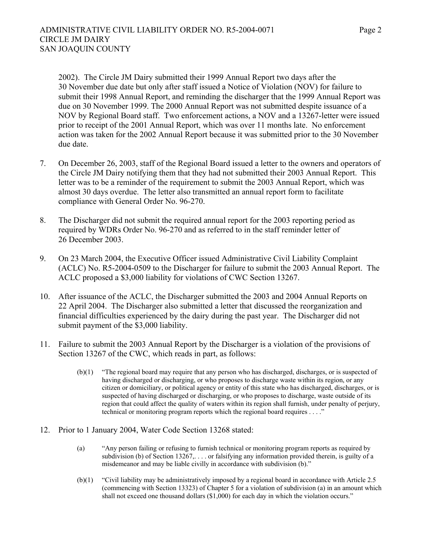2002). The Circle JM Dairy submitted their 1999 Annual Report two days after the 30 November due date but only after staff issued a Notice of Violation (NOV) for failure to submit their 1998 Annual Report, and reminding the discharger that the 1999 Annual Report was due on 30 November 1999. The 2000 Annual Report was not submitted despite issuance of a NOV by Regional Board staff. Two enforcement actions, a NOV and a 13267-letter were issued prior to receipt of the 2001 Annual Report, which was over 11 months late. No enforcement action was taken for the 2002 Annual Report because it was submitted prior to the 30 November due date.

- 7. On December 26, 2003, staff of the Regional Board issued a letter to the owners and operators of the Circle JM Dairy notifying them that they had not submitted their 2003 Annual Report. This letter was to be a reminder of the requirement to submit the 2003 Annual Report, which was almost 30 days overdue. The letter also transmitted an annual report form to facilitate compliance with General Order No. 96-270.
- 8. The Discharger did not submit the required annual report for the 2003 reporting period as required by WDRs Order No. 96-270 and as referred to in the staff reminder letter of 26 December 2003.
- 9. On 23 March 2004, the Executive Officer issued Administrative Civil Liability Complaint (ACLC) No. R5-2004-0509 to the Discharger for failure to submit the 2003 Annual Report. The ACLC proposed a \$3,000 liability for violations of CWC Section 13267.
- 10. After issuance of the ACLC, the Discharger submitted the 2003 and 2004 Annual Reports on 22 April 2004. The Discharger also submitted a letter that discussed the reorganization and financial difficulties experienced by the dairy during the past year. The Discharger did not submit payment of the \$3,000 liability.
- 11. Failure to submit the 2003 Annual Report by the Discharger is a violation of the provisions of Section 13267 of the CWC, which reads in part, as follows:
	- (b)(1) "The regional board may require that any person who has discharged, discharges, or is suspected of having discharged or discharging, or who proposes to discharge waste within its region, or any citizen or domiciliary, or political agency or entity of this state who has discharged, discharges, or is suspected of having discharged or discharging, or who proposes to discharge, waste outside of its region that could affect the quality of waters within its region shall furnish, under penalty of perjury, technical or monitoring program reports which the regional board requires . . . ."
- 12. Prior to 1 January 2004, Water Code Section 13268 stated:
	- (a) "Any person failing or refusing to furnish technical or monitoring program reports as required by subdivision (b) of Section 13267,... or falsifying any information provided therein, is guilty of a misdemeanor and may be liable civilly in accordance with subdivision (b)."
	- (b)(1) "Civil liability may be administratively imposed by a regional board in accordance with Article 2.5 (commencing with Section 13323) of Chapter 5 for a violation of subdivision (a) in an amount which shall not exceed one thousand dollars (\$1,000) for each day in which the violation occurs."